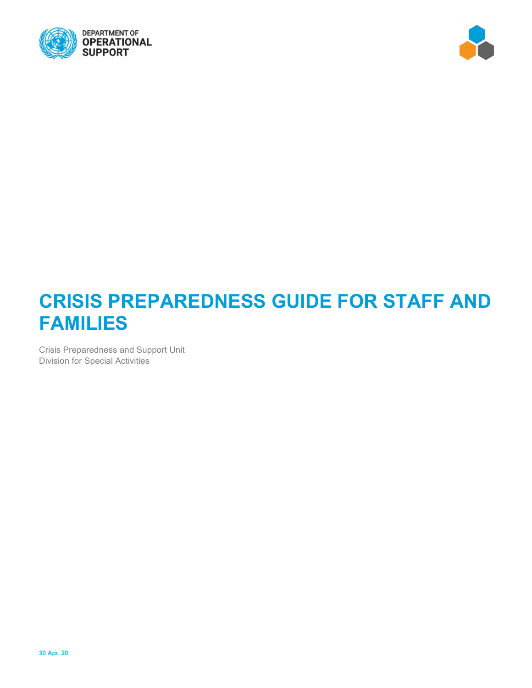



# **CRISIS PREPAREDNESS GUIDE FOR STAFF AND FAMILIES**

Crisis Preparedness and Support Unit Division for Special Activities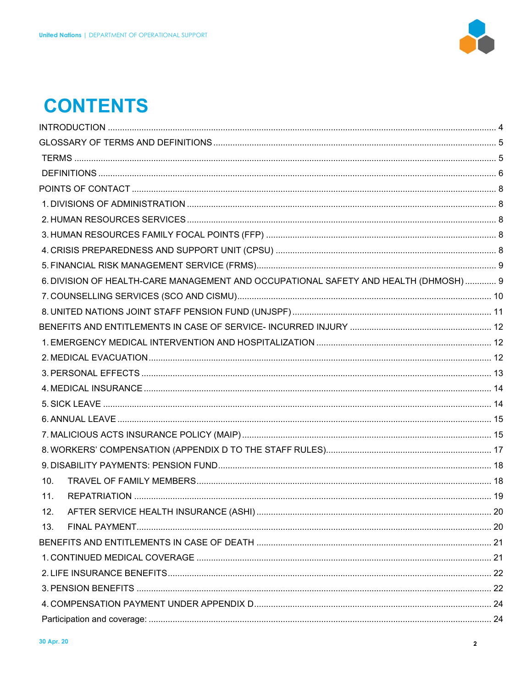

# **CONTENTS**

|     | 6. DIVISION OF HEALTH-CARE MANAGEMENT AND OCCUPATIONAL SAFETY AND HEALTH (DHMOSH)  9 |  |
|-----|--------------------------------------------------------------------------------------|--|
|     |                                                                                      |  |
|     |                                                                                      |  |
|     |                                                                                      |  |
|     |                                                                                      |  |
|     |                                                                                      |  |
|     |                                                                                      |  |
|     |                                                                                      |  |
|     |                                                                                      |  |
|     |                                                                                      |  |
|     |                                                                                      |  |
|     |                                                                                      |  |
|     |                                                                                      |  |
| 10. |                                                                                      |  |
| 11. |                                                                                      |  |
| 12. |                                                                                      |  |
| 13. |                                                                                      |  |
|     |                                                                                      |  |
|     |                                                                                      |  |
|     |                                                                                      |  |
|     |                                                                                      |  |
|     |                                                                                      |  |
|     |                                                                                      |  |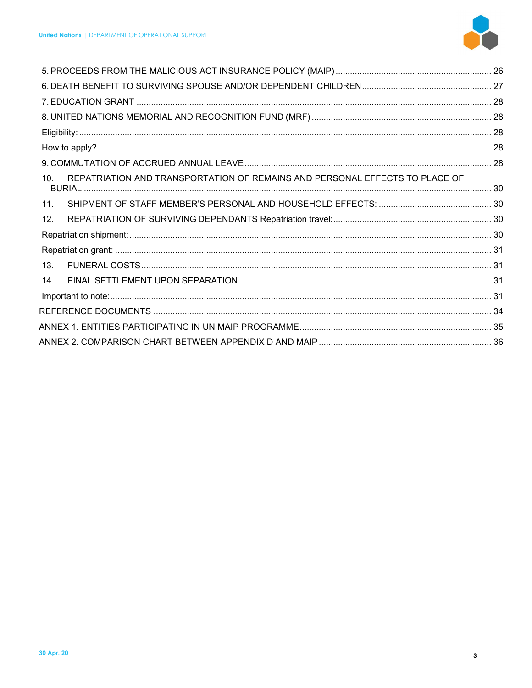

| 10. | REPATRIATION AND TRANSPORTATION OF REMAINS AND PERSONAL EFFECTS TO PLACE OF |  |  |
|-----|-----------------------------------------------------------------------------|--|--|
| 11. |                                                                             |  |  |
| 12. |                                                                             |  |  |
|     |                                                                             |  |  |
|     |                                                                             |  |  |
| 13. |                                                                             |  |  |
| 14. |                                                                             |  |  |
|     |                                                                             |  |  |
|     |                                                                             |  |  |
|     |                                                                             |  |  |
|     |                                                                             |  |  |
|     |                                                                             |  |  |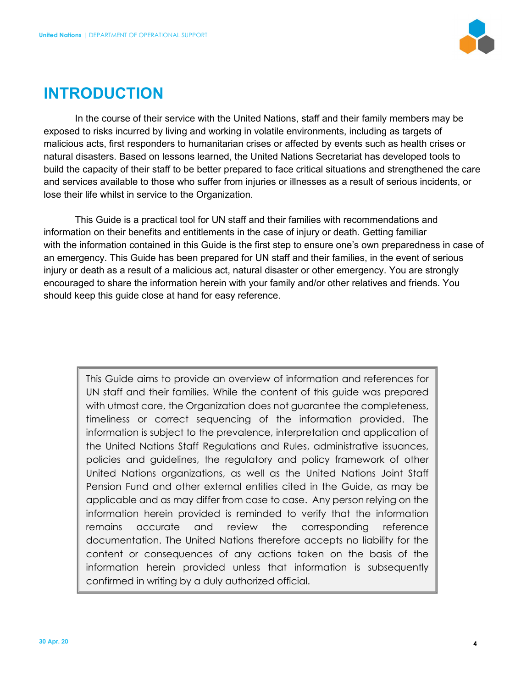

# **INTRODUCTION**

In the course of their service with the United Nations, staff and their family members may be exposed to risks incurred by living and working in volatile environments, including as targets of malicious acts, first responders to humanitarian crises or affected by events such as health crises or natural disasters. Based on lessons learned, the United Nations Secretariat has developed tools to build the capacity of their staff to be better prepared to face critical situations and strengthened the care and services available to those who suffer from injuries or illnesses as a result of serious incidents, or lose their life whilst in service to the Organization.

This Guide is a practical tool for UN staff and their families with recommendations and information on their benefits and entitlements in the case of injury or death. Getting familiar with the information contained in this Guide is the first step to ensure one's own preparedness in case of an emergency. This Guide has been prepared for UN staff and their families, in the event of serious injury or death as a result of a malicious act, natural disaster or other emergency. You are strongly encouraged to share the information herein with your family and/or other relatives and friends. You should keep this guide close at hand for easy reference.

This Guide aims to provide an overview of information and references for UN staff and their families. While the content of this guide was prepared with utmost care, the Organization does not guarantee the completeness, timeliness or correct sequencing of the information provided. The information is subject to the prevalence, interpretation and application of the United Nations Staff Regulations and Rules, administrative issuances, policies and guidelines, the regulatory and policy framework of other United Nations organizations, as well as the United Nations Joint Staff Pension Fund and other external entities cited in the Guide, as may be applicable and as may differ from case to case. Any person relying on the information herein provided is reminded to verify that the information remains accurate and review the corresponding reference documentation. The United Nations therefore accepts no liability for the content or consequences of any actions taken on the basis of the information herein provided unless that information is subsequently confirmed in writing by a duly authorized official.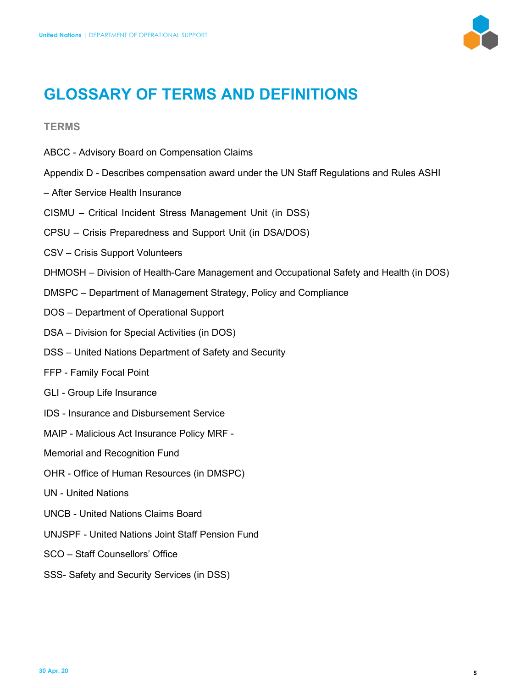

# **GLOSSARY OF TERMS AND DEFINITIONS**

# **TERMS**

- ABCC Advisory Board on Compensation Claims
- Appendix D Describes compensation award under the UN Staff Regulations and Rules ASHI
- After Service Health Insurance
- CISMU Critical Incident Stress Management Unit (in DSS)
- CPSU Crisis Preparedness and Support Unit (in DSA/DOS)
- CSV Crisis Support Volunteers
- DHMOSH Division of Health-Care Management and Occupational Safety and Health (in DOS)
- DMSPC Department of Management Strategy, Policy and Compliance
- DOS Department of Operational Support
- DSA Division for Special Activities (in DOS)
- DSS United Nations Department of Safety and Security
- FFP Family Focal Point
- GLI Group Life Insurance
- IDS Insurance and Disbursement Service
- MAIP Malicious Act Insurance Policy MRF -
- Memorial and Recognition Fund
- OHR Office of Human Resources (in DMSPC)
- UN United Nations
- UNCB United Nations Claims Board
- UNJSPF United Nations Joint Staff Pension Fund
- SCO Staff Counsellors' Office
- SSS- Safety and Security Services (in DSS)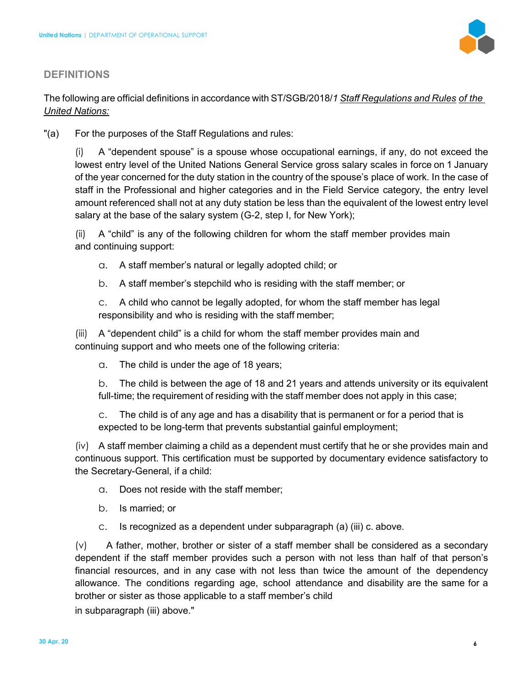

# **DEFINITIONS**

The following are official definitions in accordance with ST/SGB/2018/*1 Staff Regulations and Rules of the United Nations:* 

"(a) For the purposes of the Staff Regulations and rules:

(i) A "dependent spouse" is a spouse whose occupational earnings, if any, do not exceed the lowest entry level of the United Nations General Service gross salary scales in force on 1 January of the year concerned for the duty station in the country of the spouse's place of work. In the case of staff in the Professional and higher categories and in the Field Service category, the entry level amount referenced shall not at any duty station be less than the equivalent of the lowest entry level salary at the base of the salary system (G-2, step I, for New York);

(ii) A "child" is any of the following children for whom the staff member provides main and continuing support:

- a. A staff member's natural or legally adopted child; or
- b. A staff member's stepchild who is residing with the staff member; or

c. A child who cannot be legally adopted, for whom the staff member has legal responsibility and who is residing with the staff member;

(iii) A "dependent child" is a child for whom the staff member provides main and continuing support and who meets one of the following criteria:

a. The child is under the age of 18 years;

b. The child is between the age of 18 and 21 years and attends university or its equivalent full-time; the requirement of residing with the staff member does not apply in this case;

c. The child is of any age and has a disability that is permanent or for a period that is expected to be long-term that prevents substantial gainful employment;

(iv) A staff member claiming a child as a dependent must certify that he or she provides main and continuous support. This certification must be supported by documentary evidence satisfactory to the Secretary-General, if a child:

- a. Does not reside with the staff member;
- b. Is married; or
- c. Is recognized as a dependent under subparagraph (a) (iii) c. above.

 $(v)$  A father, mother, brother or sister of a staff member shall be considered as a secondary dependent if the staff member provides such a person with not less than half of that person's financial resources, and in any case with not less than twice the amount of the dependency allowance. The conditions regarding age, school attendance and disability are the same for a brother or sister as those applicable to a staff member's child

in subparagraph (iii) above."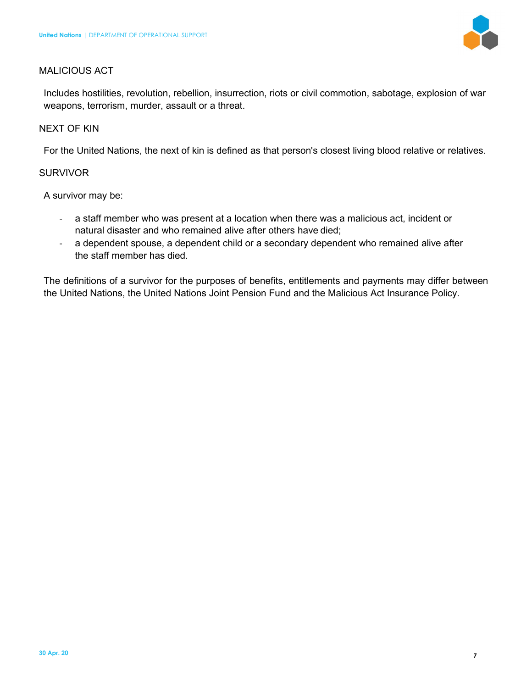

# MALICIOUS ACT

Includes hostilities, revolution, rebellion, insurrection, riots or civil commotion, sabotage, explosion of war weapons, terrorism, murder, assault or a threat.

# NEXT OF KIN

For the United Nations, the next of kin is defined as that person's closest living blood relative or relatives.

# **SURVIVOR**

A survivor may be:

- a staff member who was present at a location when there was a malicious act, incident or natural disaster and who remained alive after others have died;
- a dependent spouse, a dependent child or a secondary dependent who remained alive after the staff member has died.

The definitions of a survivor for the purposes of benefits, entitlements and payments may differ between the United Nations, the United Nations Joint Pension Fund and the Malicious Act Insurance Policy.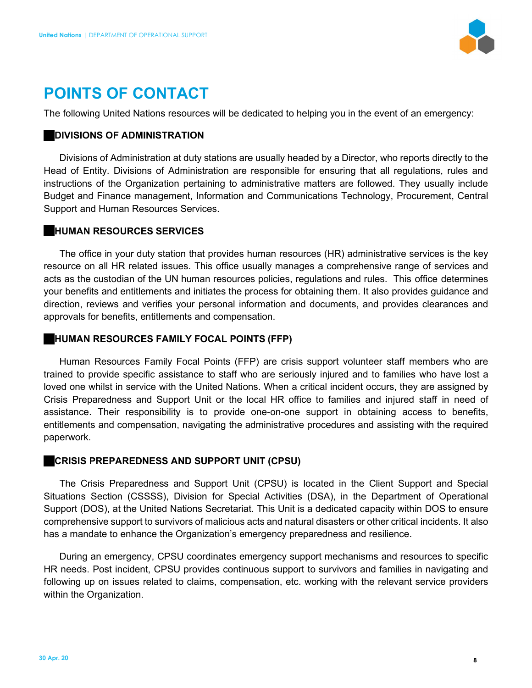

# **POINTS OF CONTACT**

The following United Nations resources will be dedicated to helping you in the event of an emergency:

#### **DIVISIONS OF ADMINISTRATION**

Divisions of Administration at duty stations are usually headed by a Director, who reports directly to the Head of Entity. Divisions of Administration are responsible for ensuring that all regulations, rules and instructions of the Organization pertaining to administrative matters are followed. They usually include Budget and Finance management, Information and Communications Technology, Procurement, Central Support and Human Resources Services.

# **HUMAN RESOURCES SERVICES**

The office in your duty station that provides human resources (HR) administrative services is the key resource on all HR related issues. This office usually manages a comprehensive range of services and acts as the custodian of the UN human resources policies, regulations and rules. This office determines your benefits and entitlements and initiates the process for obtaining them. It also provides guidance and direction, reviews and verifies your personal information and documents, and provides clearances and approvals for benefits, entitlements and compensation.

# **HUMAN RESOURCES FAMILY FOCAL POINTS (FFP)**

Human Resources Family Focal Points (FFP) are crisis support volunteer staff members who are trained to provide specific assistance to staff who are seriously injured and to families who have lost a loved one whilst in service with the United Nations. When a critical incident occurs, they are assigned by Crisis Preparedness and Support Unit or the local HR office to families and injured staff in need of assistance. Their responsibility is to provide one-on-one support in obtaining access to benefits, entitlements and compensation, navigating the administrative procedures and assisting with the required paperwork.

# **CRISIS PREPAREDNESS AND SUPPORT UNIT (CPSU)**

The Crisis Preparedness and Support Unit (CPSU) is located in the Client Support and Special Situations Section (CSSSS), Division for Special Activities (DSA), in the Department of Operational Support (DOS), at the United Nations Secretariat. This Unit is a dedicated capacity within DOS to ensure comprehensive support to survivors of malicious acts and natural disasters or other critical incidents. It also has a mandate to enhance the Organization's emergency preparedness and resilience.

During an emergency, CPSU coordinates emergency support mechanisms and resources to specific HR needs. Post incident, CPSU provides continuous support to survivors and families in navigating and following up on issues related to claims, compensation, etc. working with the relevant service providers within the Organization.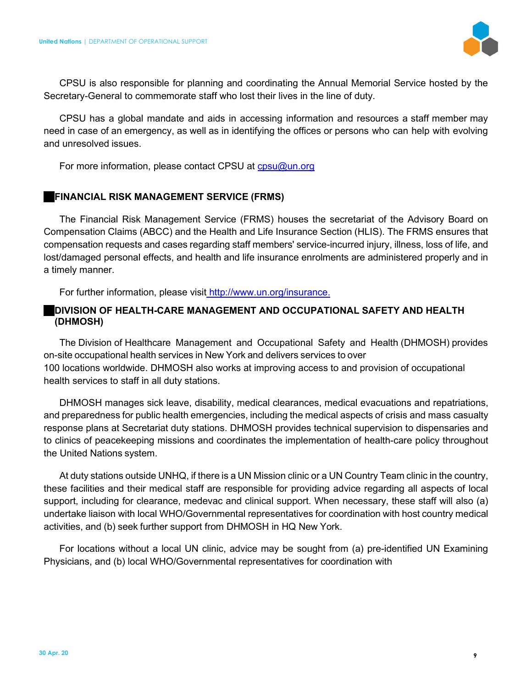

CPSU is also responsible for planning and coordinating the Annual Memorial Service hosted by the Secretary-General to commemorate staff who lost their lives in the line of duty.

CPSU has a global mandate and aids in accessing information and resources a staff member may need in case of an emergency, as well as in identifying the offices or persons who can help with evolving and unresolved issues.

For more information, please contact CPSU at cpsu@un.org

# **FINANCIAL RISK MANAGEMENT SERVICE (FRMS)**

The Financial Risk Management Service (FRMS) houses the secretariat of the Advisory Board on Compensation Claims (ABCC) and the Health and Life Insurance Section (HLIS). The FRMS ensures that compensation requests and cases regarding staff members' service-incurred injury, illness, loss of life, and lost/damaged personal effects, and health and life insurance enrolments are administered properly and in a timely manner.

For further information, please visit http://www.un.org/insurance.

# **DIVISION OF HEALTH-CARE MANAGEMENT AND OCCUPATIONAL SAFETY AND HEALTH (DHMOSH)**

The Division of Healthcare Management and Occupational Safety and Health (DHMOSH) provides on-site occupational health services in New York and delivers services to over 100 locations worldwide. DHMOSH also works at improving access to and provision of occupational health services to staff in all duty stations.

DHMOSH manages sick leave, disability, medical clearances, medical evacuations and repatriations, and preparedness for public health emergencies, including the medical aspects of crisis and mass casualty response plans at Secretariat duty stations. DHMOSH provides technical supervision to dispensaries and to clinics of peacekeeping missions and coordinates the implementation of health-care policy throughout the United Nations system.

At duty stations outside UNHQ, if there is a UN Mission clinic or a UN Country Team clinic in the country, these facilities and their medical staff are responsible for providing advice regarding all aspects of local support, including for clearance, medevac and clinical support. When necessary, these staff will also (a) undertake liaison with local WHO/Governmental representatives for coordination with host country medical activities, and (b) seek further support from DHMOSH in HQ New York.

For locations without a local UN clinic, advice may be sought from (a) pre-identified UN Examining Physicians, and (b) local WHO/Governmental representatives for coordination with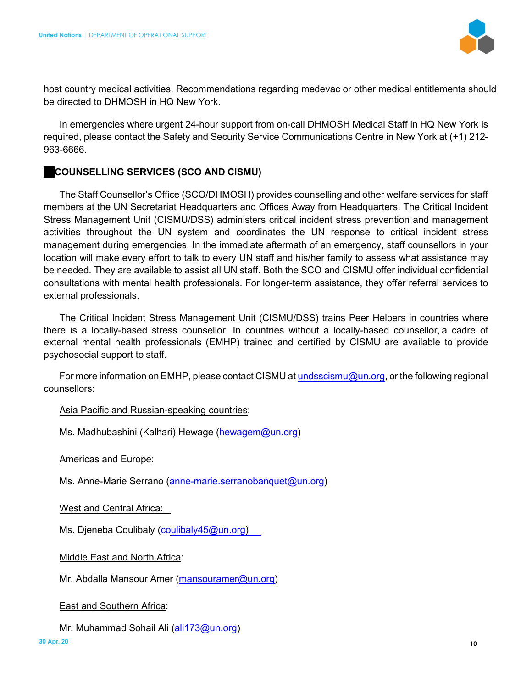

host country medical activities. Recommendations regarding medevac or other medical entitlements should be directed to DHMOSH in HQ New York.

In emergencies where urgent 24-hour support from on-call DHMOSH Medical Staff in HQ New York is required, please contact the Safety and Security Service Communications Centre in New York at (+1) 212- 963-6666.

# **COUNSELLING SERVICES (SCO AND CISMU)**

The Staff Counsellor's Office (SCO/DHMOSH) provides counselling and other welfare services for staff members at the UN Secretariat Headquarters and Offices Away from Headquarters. The Critical Incident Stress Management Unit (CISMU/DSS) administers critical incident stress prevention and management activities throughout the UN system and coordinates the UN response to critical incident stress management during emergencies. In the immediate aftermath of an emergency, staff counsellors in your location will make every effort to talk to every UN staff and his/her family to assess what assistance may be needed. They are available to assist all UN staff. Both the SCO and CISMU offer individual confidential consultations with mental health professionals. For longer-term assistance, they offer referral services to external professionals.

The Critical Incident Stress Management Unit (CISMU/DSS) trains Peer Helpers in countries where there is a locally-based stress counsellor. In countries without a locally-based counsellor, a cadre of external mental health professionals (EMHP) trained and certified by CISMU are available to provide psychosocial support to staff.

For more information on EMHP, please contact CISMU at **undsscismu@un.org**, or the following regional counsellors:

# Asia Pacific and Russian-speaking countries:

Ms. Madhubashini (Kalhari) Hewage (hewagem@un.org)

Americas and Europe:

Ms. Anne-Marie Serrano (anne-marie.serranobanquet@un.org)

West and Central Africa:

Ms. Djeneba Coulibaly (coulibaly45@un.org)

Middle East and North Africa:

Mr. Abdalla Mansour Amer (mansouramer@un.org)

East and Southern Africa:

Mr. Muhammad Sohail Ali (ali173@un.org)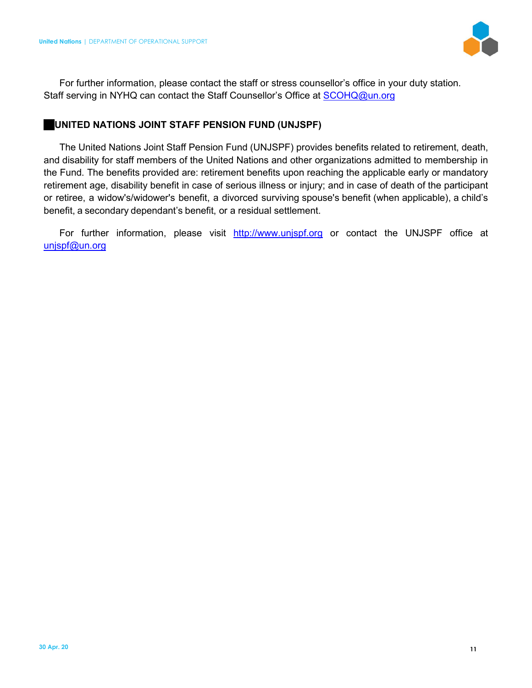

For further information, please contact the staff or stress counsellor's office in your duty station. Staff serving in NYHQ can contact the Staff Counsellor's Office at **SCOHQ@un.org** 

# **UNITED NATIONS JOINT STAFF PENSION FUND (UNJSPF)**

The United Nations Joint Staff Pension Fund (UNJSPF) provides benefits related to retirement, death, and disability for staff members of the United Nations and other organizations admitted to membership in the Fund. The benefits provided are: retirement benefits upon reaching the applicable early or mandatory retirement age, disability benefit in case of serious illness or injury; and in case of death of the participant or retiree, a widow's/widower's benefit, a divorced surviving spouse's benefit (when applicable), a child's benefit, a secondary dependant's benefit, or a residual settlement.

For further information, please visit http://www.unjspf.org or contact the UNJSPF office at unispf@un.org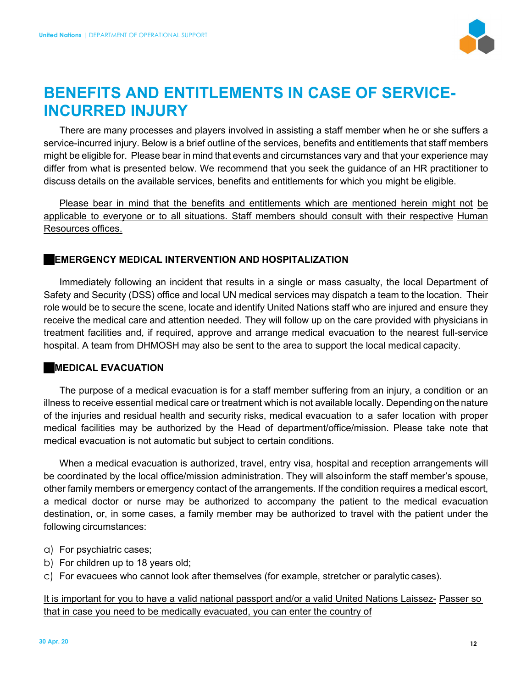

# **BENEFITS AND ENTITLEMENTS IN CASE OF SERVICE-INCURRED INJURY**

There are many processes and players involved in assisting a staff member when he or she suffers a service-incurred injury. Below is a brief outline of the services, benefits and entitlements that staff members might be eligible for. Please bear in mind that events and circumstances vary and that your experience may differ from what is presented below. We recommend that you seek the guidance of an HR practitioner to discuss details on the available services, benefits and entitlements for which you might be eligible.

Please bear in mind that the benefits and entitlements which are mentioned herein might not be applicable to everyone or to all situations. Staff members should consult with their respective Human Resources offices.

# **EMERGENCY MEDICAL INTERVENTION AND HOSPITALIZATION**

Immediately following an incident that results in a single or mass casualty, the local Department of Safety and Security (DSS) office and local UN medical services may dispatch a team to the location. Their role would be to secure the scene, locate and identify United Nations staff who are injured and ensure they receive the medical care and attention needed. They will follow up on the care provided with physicians in treatment facilities and, if required, approve and arrange medical evacuation to the nearest full-service hospital. A team from DHMOSH may also be sent to the area to support the local medical capacity.

# **MEDICAL EVACUATION**

The purpose of a medical evacuation is for a staff member suffering from an injury, a condition or an illness to receive essential medical care or treatment which is not available locally. Depending on the nature of the injuries and residual health and security risks, medical evacuation to a safer location with proper medical facilities may be authorized by the Head of department/office/mission. Please take note that medical evacuation is not automatic but subject to certain conditions.

When a medical evacuation is authorized, travel, entry visa, hospital and reception arrangements will be coordinated by the local office/mission administration. They will also inform the staff member's spouse, other family members or emergency contact of the arrangements. If the condition requires a medical escort, a medical doctor or nurse may be authorized to accompany the patient to the medical evacuation destination, or, in some cases, a family member may be authorized to travel with the patient under the following circumstances:

- a) For psychiatric cases;
- b) For children up to 18 years old;
- c) For evacuees who cannot look after themselves (for example, stretcher or paralytic cases).

It is important for you to have a valid national passport and/or a valid United Nations Laissez- Passer so that in case you need to be medically evacuated, you can enter the country of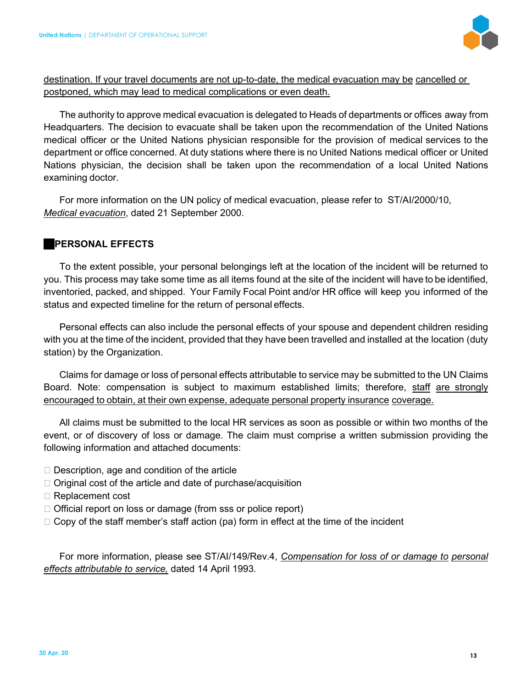

# destination. If your travel documents are not up-to-date, the medical evacuation may be cancelled or postponed, which may lead to medical complications or even death.

The authority to approve medical evacuation is delegated to Heads of departments or offices away from Headquarters. The decision to evacuate shall be taken upon the recommendation of the United Nations medical officer or the United Nations physician responsible for the provision of medical services to the department or office concerned. At duty stations where there is no United Nations medical officer or United Nations physician, the decision shall be taken upon the recommendation of a local United Nations examining doctor.

For more information on the UN policy of medical evacuation, please refer to ST/AI/2000/10, *Medical evacuation*, dated 21 September 2000.

# **PERSONAL EFFECTS**

To the extent possible, your personal belongings left at the location of the incident will be returned to you. This process may take some time as all items found at the site of the incident will have to be identified, inventoried, packed, and shipped. Your Family Focal Point and/or HR office will keep you informed of the status and expected timeline for the return of personal effects.

Personal effects can also include the personal effects of your spouse and dependent children residing with you at the time of the incident, provided that they have been travelled and installed at the location (duty station) by the Organization.

Claims for damage or loss of personal effects attributable to service may be submitted to the UN Claims Board. Note: compensation is subject to maximum established limits; therefore, staff are strongly encouraged to obtain, at their own expense, adequate personal property insurance coverage.

All claims must be submitted to the local HR services as soon as possible or within two months of the event, or of discovery of loss or damage. The claim must comprise a written submission providing the following information and attached documents:

- $\Box$  Description, age and condition of the article
- $\Box$  Original cost of the article and date of purchase/acquisition
- □ Replacement cost
- $\Box$  Official report on loss or damage (from sss or police report)
- $\Box$  Copy of the staff member's staff action (pa) form in effect at the time of the incident

For more information, please see ST/AI/149/Rev.4, *Compensation for loss of or damage to personal effects attributable to service,* dated 14 April 1993.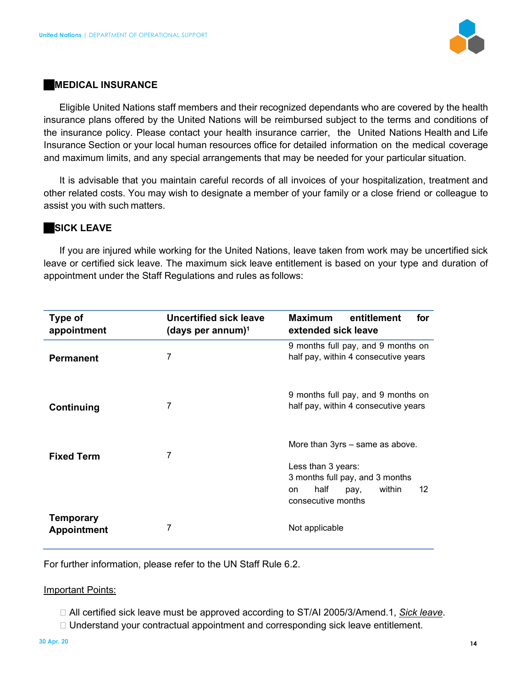

#### **MEDICAL INSURANCE**

Eligible United Nations staff members and their recognized dependants who are covered by the health insurance plans offered by the United Nations will be reimbursed subject to the terms and conditions of the insurance policy. Please contact your health insurance carrier, the United Nations Health and Life Insurance Section or your local human resources office for detailed information on the medical coverage and maximum limits, and any special arrangements that may be needed for your particular situation.

It is advisable that you maintain careful records of all invoices of your hospitalization, treatment and other related costs. You may wish to designate a member of your family or a close friend or colleague to assist you with such matters.

# **SICK LEAVE**

If you are injured while working for the United Nations, leave taken from work may be uncertified sick leave or certified sick leave. The maximum sick leave entitlement is based on your type and duration of appointment under the Staff Regulations and rules as follows:

| Type of<br>appointment          | Uncertified sick leave<br>(days per annum) $1$ | <b>Maximum</b><br>entitlement<br>for<br>extended sick leave                                                                                          |
|---------------------------------|------------------------------------------------|------------------------------------------------------------------------------------------------------------------------------------------------------|
| <b>Permanent</b>                | 7                                              | 9 months full pay, and 9 months on<br>half pay, within 4 consecutive years                                                                           |
| Continuing                      | 7                                              | 9 months full pay, and 9 months on<br>half pay, within 4 consecutive years                                                                           |
| <b>Fixed Term</b>               | 7                                              | More than 3yrs – same as above.<br>Less than 3 years:<br>3 months full pay, and 3 months<br>half<br>12<br>within<br>pay,<br>on<br>consecutive months |
| Temporary<br><b>Appointment</b> | 7                                              | Not applicable                                                                                                                                       |

For further information, please refer to the UN Staff Rule 6.2.

#### Important Points:

- All certified sick leave must be approved according to ST/AI 2005/3/Amend.1, *Sick leave*.
- □ Understand your contractual appointment and corresponding sick leave entitlement.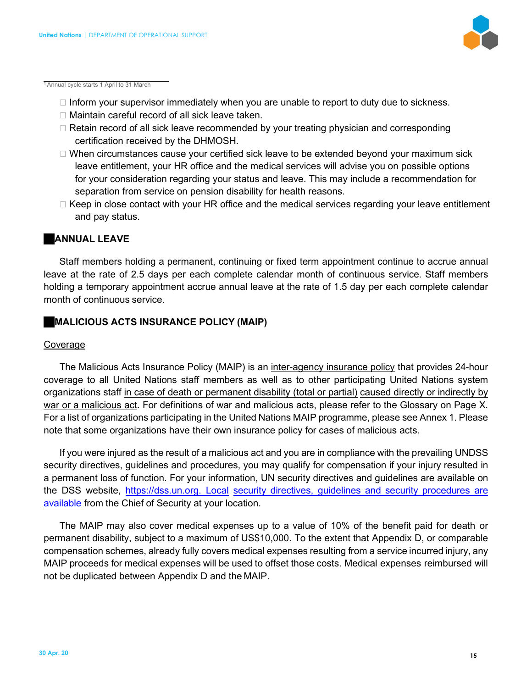

<sup>1</sup>Annual cycle starts 1 April to 31 March

- $\Box$  Inform your supervisor immediately when you are unable to report to duty due to sickness.
- □ Maintain careful record of all sick leave taken.
- □ Retain record of all sick leave recommended by your treating physician and corresponding certification received by the DHMOSH.
- $\Box$  When circumstances cause your certified sick leave to be extended beyond your maximum sick leave entitlement, your HR office and the medical services will advise you on possible options for your consideration regarding your status and leave. This may include a recommendation for separation from service on pension disability for health reasons.
- $\Box$  Keep in close contact with your HR office and the medical services regarding your leave entitlement and pay status.

#### **ANNUAL LEAVE**

Staff members holding a permanent, continuing or fixed term appointment continue to accrue annual leave at the rate of 2.5 days per each complete calendar month of continuous service. Staff members holding a temporary appointment accrue annual leave at the rate of 1.5 day per each complete calendar month of continuous service.

#### **MALICIOUS ACTS INSURANCE POLICY (MAIP)**

#### Coverage

The Malicious Acts Insurance Policy (MAIP) is an inter-agency insurance policy that provides 24-hour coverage to all United Nations staff members as well as to other participating United Nations system organizations staff in case of death or permanent disability (total or partial) caused directly or indirectly by war or a malicious act**.** For definitions of war and malicious acts, please refer to the Glossary on Page X. For a list of organizations participating in the United Nations MAIP programme, please see Annex 1. Please note that some organizations have their own insurance policy for cases of malicious acts.

If you were injured as the result of a malicious act and you are in compliance with the prevailing UNDSS security directives, guidelines and procedures, you may qualify for compensation if your injury resulted in a permanent loss of function. For your information, UN security directives and guidelines are available on the DSS website, https://dss.un.org. Local security directives, guidelines and security procedures are available from the Chief of Security at your location.

The MAIP may also cover medical expenses up to a value of 10% of the benefit paid for death or permanent disability, subject to a maximum of US\$10,000. To the extent that Appendix D, or comparable compensation schemes, already fully covers medical expenses resulting from a service incurred injury, any MAIP proceeds for medical expenses will be used to offset those costs. Medical expenses reimbursed will not be duplicated between Appendix D and the MAIP.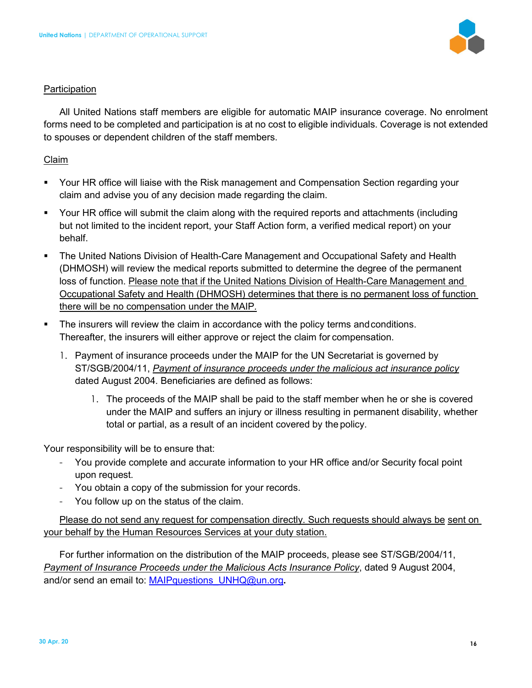

#### **Participation**

All United Nations staff members are eligible for automatic MAIP insurance coverage. No enrolment forms need to be completed and participation is at no cost to eligible individuals. Coverage is not extended to spouses or dependent children of the staff members.

#### Claim

- Your HR office will liaise with the Risk management and Compensation Section regarding your claim and advise you of any decision made regarding the claim.
- Your HR office will submit the claim along with the required reports and attachments (including but not limited to the incident report, your Staff Action form, a verified medical report) on your behalf.
- The United Nations Division of Health-Care Management and Occupational Safety and Health (DHMOSH) will review the medical reports submitted to determine the degree of the permanent loss of function. Please note that if the United Nations Division of Health-Care Management and Occupational Safety and Health (DHMOSH) determines that there is no permanent loss of function there will be no compensation under the MAIP*.*
- The insurers will review the claim in accordance with the policy terms and conditions. Thereafter, the insurers will either approve or reject the claim for compensation.
	- 1. Payment of insurance proceeds under the MAIP for the UN Secretariat is governed by ST/SGB/2004/11, *Payment of insurance proceeds under the malicious act insurance policy*  dated August 2004. Beneficiaries are defined as follows:
		- 1. The proceeds of the MAIP shall be paid to the staff member when he or she is covered under the MAIP and suffers an injury or illness resulting in permanent disability, whether total or partial, as a result of an incident covered by the policy.

Your responsibility will be to ensure that:

- You provide complete and accurate information to your HR office and/or Security focal point upon request.
- You obtain a copy of the submission for your records.
- You follow up on the status of the claim.

Please do not send any request for compensation directly. Such requests should always be sent on your behalf by the Human Resources Services at your duty station.

For further information on the distribution of the MAIP proceeds, please see ST/SGB/2004/11, *Payment of Insurance Proceeds under the Malicious Acts Insurance Policy*, dated 9 August 2004, and/or send an email to: MAIPquestions\_UNHQ@un.org**.**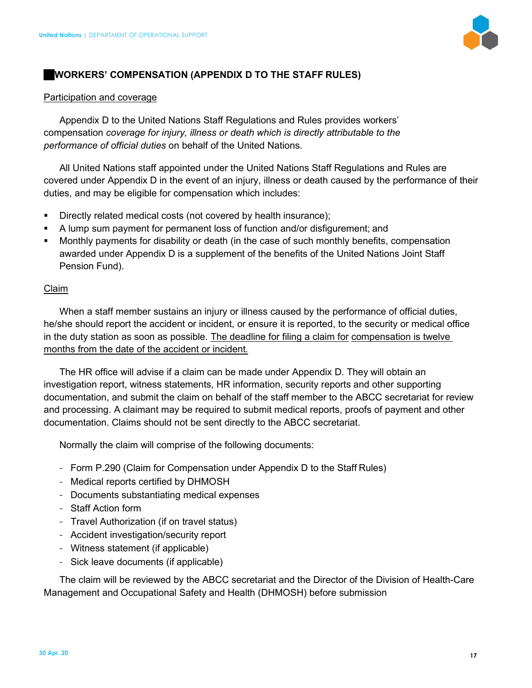

# **WORKERS' COMPENSATION (APPENDIX D TO THE STAFF RULES)**

#### Participation and coverage

Appendix D to the United Nations Staff Regulations and Rules provides workers' compensation *coverage for injury, illness or death which is directly attributable to the performance of official duties* on behalf of the United Nations.

All United Nations staff appointed under the United Nations Staff Regulations and Rules are covered under Appendix D in the event of an injury, illness or death caused by the performance of their duties, and may be eligible for compensation which includes:

- Directly related medical costs (not covered by health insurance);
- A lump sum payment for permanent loss of function and/or disfigurement; and
- Monthly payments for disability or death (in the case of such monthly benefits, compensation awarded under Appendix D is a supplement of the benefits of the United Nations Joint Staff Pension Fund).

#### Claim

When a staff member sustains an injury or illness caused by the performance of official duties, he/she should report the accident or incident, or ensure it is reported, to the security or medical office in the duty station as soon as possible. The deadline for filing a claim for compensation is twelve months from the date of the accident or incident*.* 

The HR office will advise if a claim can be made under Appendix D. They will obtain an investigation report, witness statements, HR information, security reports and other supporting documentation, and submit the claim on behalf of the staff member to the ABCC secretariat for review and processing. A claimant may be required to submit medical reports, proofs of payment and other documentation. Claims should not be sent directly to the ABCC secretariat.

Normally the claim will comprise of the following documents:

- Form P.290 (Claim for Compensation under Appendix D to the Staff Rules)
- Medical reports certified by DHMOSH
- Documents substantiating medical expenses
- Staff Action form
- Travel Authorization (if on travel status)
- Accident investigation/security report
- Witness statement (if applicable)
- Sick leave documents (if applicable)

The claim will be reviewed by the ABCC secretariat and the Director of the Division of Health-Care Management and Occupational Safety and Health (DHMOSH) before submission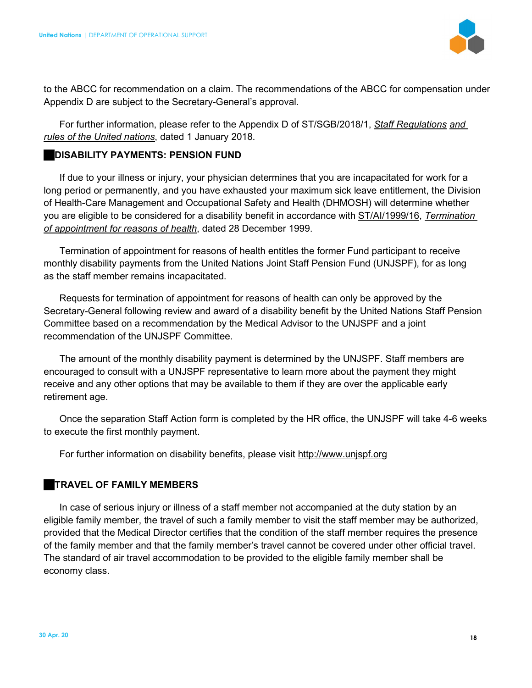

to the ABCC for recommendation on a claim. The recommendations of the ABCC for compensation under Appendix D are subject to the Secretary-General's approval.

For further information, please refer to the Appendix D of ST/SGB/2018/1, *Staff Regulations and rules of the United nations*, dated 1 January 2018.

#### **DISABILITY PAYMENTS: PENSION FUND**

If due to your illness or injury, your physician determines that you are incapacitated for work for a long period or permanently, and you have exhausted your maximum sick leave entitlement, the Division of Health-Care Management and Occupational Safety and Health (DHMOSH) will determine whether you are eligible to be considered for a disability benefit in accordance with ST/AI/1999/16, *Termination of appointment for reasons of health*, dated 28 December 1999.

Termination of appointment for reasons of health entitles the former Fund participant to receive monthly disability payments from the United Nations Joint Staff Pension Fund (UNJSPF), for as long as the staff member remains incapacitated.

Requests for termination of appointment for reasons of health can only be approved by the Secretary-General following review and award of a disability benefit by the United Nations Staff Pension Committee based on a recommendation by the Medical Advisor to the UNJSPF and a joint recommendation of the UNJSPF Committee.

The amount of the monthly disability payment is determined by the UNJSPF. Staff members are encouraged to consult with a UNJSPF representative to learn more about the payment they might receive and any other options that may be available to them if they are over the applicable early retirement age.

Once the separation Staff Action form is completed by the HR office, the UNJSPF will take 4-6 weeks to execute the first monthly payment.

For further information on disability benefits, please visit http://www.unjspf.org

# **TRAVEL OF FAMILY MEMBERS**

In case of serious injury or illness of a staff member not accompanied at the duty station by an eligible family member, the travel of such a family member to visit the staff member may be authorized, provided that the Medical Director certifies that the condition of the staff member requires the presence of the family member and that the family member's travel cannot be covered under other official travel. The standard of air travel accommodation to be provided to the eligible family member shall be economy class.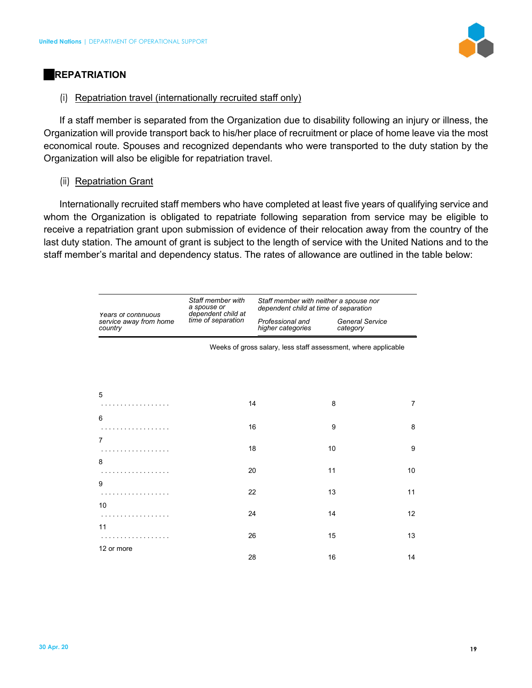

# **REPATRIATION**

#### (i) Repatriation travel (internationally recruited staff only)

If a staff member is separated from the Organization due to disability following an injury or illness, the Organization will provide transport back to his/her place of recruitment or place of home leave via the most economical route. Spouses and recognized dependants who were transported to the duty station by the Organization will also be eligible for repatriation travel.

# (ii) Repatriation Grant

Internationally recruited staff members who have completed at least five years of qualifying service and whom the Organization is obligated to repatriate following separation from service may be eligible to receive a repatriation grant upon submission of evidence of their relocation away from the country of the last duty station. The amount of grant is subject to the length of service with the United Nations and to the staff member's marital and dependency status. The rates of allowance are outlined in the table below:

|                                                          | Staff member with<br>a spouse or<br>dependent child at<br>time of separation | Staff member with neither a spouse nor<br>dependent child at time of separation |                                    |    |
|----------------------------------------------------------|------------------------------------------------------------------------------|---------------------------------------------------------------------------------|------------------------------------|----|
| Years of continuous<br>service away from home<br>country |                                                                              | Professional and<br>higher categories                                           | <b>General Service</b><br>category |    |
|                                                          |                                                                              | Weeks of gross salary, less staff assessment, where applicable                  |                                    |    |
|                                                          |                                                                              |                                                                                 |                                    |    |
| 5                                                        |                                                                              |                                                                                 |                                    |    |
| .                                                        | 14                                                                           |                                                                                 | 8                                  | 7  |
| 6<br>.                                                   | 16                                                                           |                                                                                 | 9                                  | 8  |
| $\overline{7}$                                           |                                                                              |                                                                                 |                                    |    |
| .                                                        | 18                                                                           |                                                                                 | 10                                 | 9  |
| 8<br>.                                                   | 20                                                                           |                                                                                 | 11                                 | 10 |
| 9                                                        |                                                                              |                                                                                 |                                    |    |
| .                                                        | 22                                                                           |                                                                                 | 13                                 | 11 |
| 10<br>.                                                  | 24                                                                           |                                                                                 | 14                                 | 12 |
| 11<br>.                                                  | 26                                                                           |                                                                                 | 15                                 | 13 |
| 12 or more                                               | 28                                                                           |                                                                                 | 16                                 | 14 |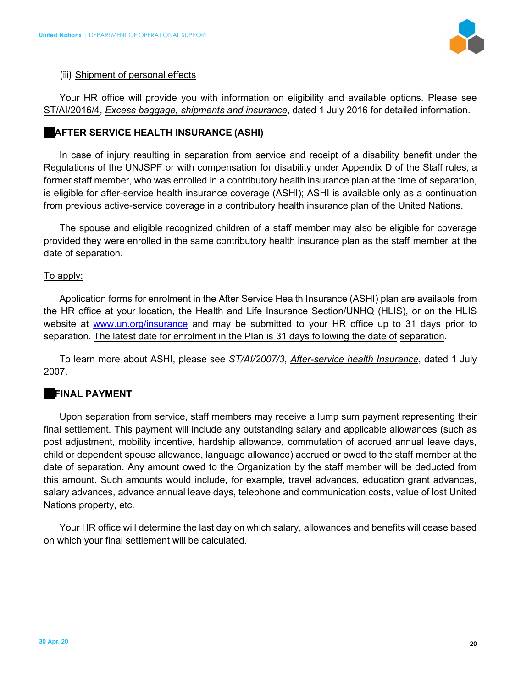

#### (iii) Shipment of personal effects

Your HR office will provide you with information on eligibility and available options. Please see ST/AI/2016/4, *Excess baggage, shipments and insurance*, dated 1 July 2016 for detailed information.

#### **AFTER SERVICE HEALTH INSURANCE (ASHI)**

In case of injury resulting in separation from service and receipt of a disability benefit under the Regulations of the UNJSPF or with compensation for disability under Appendix D of the Staff rules, a former staff member, who was enrolled in a contributory health insurance plan at the time of separation, is eligible for after-service health insurance coverage (ASHI); ASHI is available only as a continuation from previous active-service coverage in a contributory health insurance plan of the United Nations.

The spouse and eligible recognized children of a staff member may also be eligible for coverage provided they were enrolled in the same contributory health insurance plan as the staff member at the date of separation.

#### To apply:

Application forms for enrolment in the After Service Health Insurance (ASHI) plan are available from the HR office at your location, the Health and Life Insurance Section/UNHQ (HLIS), or on the HLIS website at www.un.org/insurance and may be submitted to your HR office up to 31 days prior to separation. The latest date for enrolment in the Plan is 31 days following the date of separation.

To learn more about ASHI, please see *ST/AI/2007/3*, *After-service health Insurance*, dated 1 July 2007.

# **FINAL PAYMENT**

Upon separation from service, staff members may receive a lump sum payment representing their final settlement. This payment will include any outstanding salary and applicable allowances (such as post adjustment, mobility incentive, hardship allowance, commutation of accrued annual leave days, child or dependent spouse allowance, language allowance) accrued or owed to the staff member at the date of separation. Any amount owed to the Organization by the staff member will be deducted from this amount. Such amounts would include, for example, travel advances, education grant advances, salary advances, advance annual leave days, telephone and communication costs, value of lost United Nations property, etc.

Your HR office will determine the last day on which salary, allowances and benefits will cease based on which your final settlement will be calculated.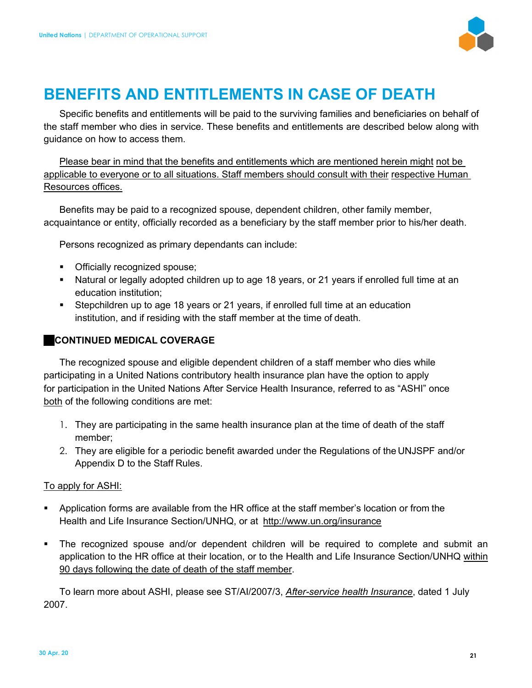

# **BENEFITS AND ENTITLEMENTS IN CASE OF DEATH**

Specific benefits and entitlements will be paid to the surviving families and beneficiaries on behalf of the staff member who dies in service. These benefits and entitlements are described below along with guidance on how to access them.

Please bear in mind that the benefits and entitlements which are mentioned herein might not be applicable to everyone or to all situations. Staff members should consult with their respective Human Resources offices.

Benefits may be paid to a recognized spouse, dependent children, other family member, acquaintance or entity, officially recorded as a beneficiary by the staff member prior to his/her death.

Persons recognized as primary dependants can include:

- **•** Officially recognized spouse;
- Natural or legally adopted children up to age 18 years, or 21 years if enrolled full time at an education institution;
- Stepchildren up to age 18 years or 21 years, if enrolled full time at an education institution, and if residing with the staff member at the time of death.

# **CONTINUED MEDICAL COVERAGE**

The recognized spouse and eligible dependent children of a staff member who dies while participating in a United Nations contributory health insurance plan have the option to apply for participation in the United Nations After Service Health Insurance, referred to as "ASHI" once both of the following conditions are met:

- 1. They are participating in the same health insurance plan at the time of death of the staff member;
- 2. They are eligible for a periodic benefit awarded under the Regulations of the UNJSPF and/or Appendix D to the Staff Rules.

# To apply for ASHI:

- Application forms are available from the HR office at the staff member's location or from the Health and Life Insurance Section/UNHQ, or at http://www.un.org/insurance
- The recognized spouse and/or dependent children will be required to complete and submit an application to the HR office at their location, or to the Health and Life Insurance Section/UNHQ within 90 days following the date of death of the staff member.

To learn more about ASHI, please see ST/AI/2007/3, *After-service health Insurance*, dated 1 July 2007.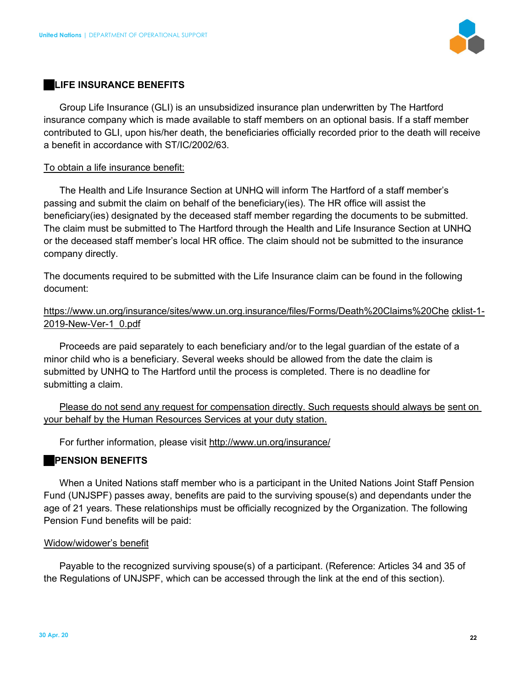

#### **LIFE INSURANCE BENEFITS**

Group Life Insurance (GLI) is an unsubsidized insurance plan underwritten by The Hartford insurance company which is made available to staff members on an optional basis. If a staff member contributed to GLI, upon his/her death, the beneficiaries officially recorded prior to the death will receive a benefit in accordance with ST/IC/2002/63.

#### To obtain a life insurance benefit:

The Health and Life Insurance Section at UNHQ will inform The Hartford of a staff member's passing and submit the claim on behalf of the beneficiary(ies). The HR office will assist the beneficiary(ies) designated by the deceased staff member regarding the documents to be submitted. The claim must be submitted to The Hartford through the Health and Life Insurance Section at UNHQ or the deceased staff member's local HR office. The claim should not be submitted to the insurance company directly.

The documents required to be submitted with the Life Insurance claim can be found in the following document:

# https://www.un.org/insurance/sites/www.un.org.insurance/files/Forms/Death%20Claims%20Che cklist-1- 2019-New-Ver-1\_0.pdf

Proceeds are paid separately to each beneficiary and/or to the legal guardian of the estate of a minor child who is a beneficiary. Several weeks should be allowed from the date the claim is submitted by UNHQ to The Hartford until the process is completed. There is no deadline for submitting a claim.

Please do not send any request for compensation directly. Such requests should always be sent on your behalf by the Human Resources Services at your duty station.

For further information, please visit http://www.un.org/insurance/

# **PENSION BENEFITS**

When a United Nations staff member who is a participant in the United Nations Joint Staff Pension Fund (UNJSPF) passes away, benefits are paid to the surviving spouse(s) and dependants under the age of 21 years. These relationships must be officially recognized by the Organization. The following Pension Fund benefits will be paid:

#### Widow/widower's benefit

Payable to the recognized surviving spouse(s) of a participant. (Reference: Articles 34 and 35 of the Regulations of UNJSPF, which can be accessed through the link at the end of this section).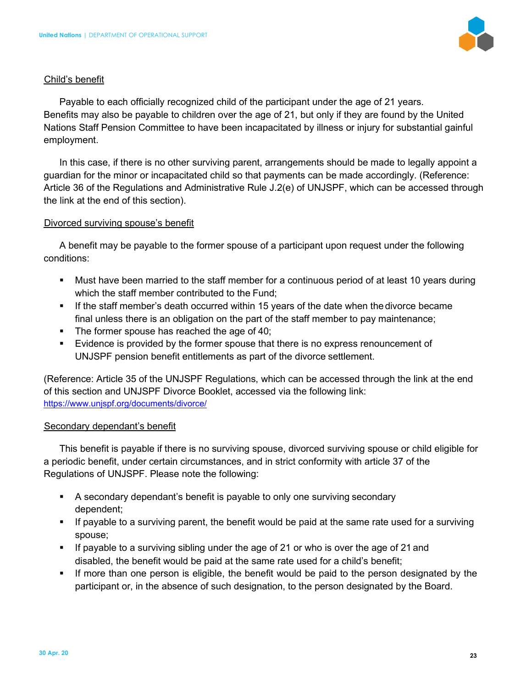

#### Child's benefit

Payable to each officially recognized child of the participant under the age of 21 years. Benefits may also be payable to children over the age of 21, but only if they are found by the United Nations Staff Pension Committee to have been incapacitated by illness or injury for substantial gainful employment.

In this case, if there is no other surviving parent, arrangements should be made to legally appoint a guardian for the minor or incapacitated child so that payments can be made accordingly. (Reference: Article 36 of the Regulations and Administrative Rule J.2(e) of UNJSPF, which can be accessed through the link at the end of this section).

#### Divorced surviving spouse's benefit

A benefit may be payable to the former spouse of a participant upon request under the following conditions:

- Must have been married to the staff member for a continuous period of at least 10 years during which the staff member contributed to the Fund;
- If the staff member's death occurred within 15 years of the date when the divorce became final unless there is an obligation on the part of the staff member to pay maintenance;
- The former spouse has reached the age of 40;
- Evidence is provided by the former spouse that there is no express renouncement of UNJSPF pension benefit entitlements as part of the divorce settlement.

(Reference: Article 35 of the UNJSPF Regulations, which can be accessed through the link at the end of this section and UNJSPF Divorce Booklet, accessed via the following link: https://www.unjspf.org/documents/divorce/

# Secondary dependant's benefit

This benefit is payable if there is no surviving spouse, divorced surviving spouse or child eligible for a periodic benefit, under certain circumstances, and in strict conformity with article 37 of the Regulations of UNJSPF. Please note the following:

- A secondary dependant's benefit is payable to only one surviving secondary dependent;
- If payable to a surviving parent, the benefit would be paid at the same rate used for a surviving spouse;
- If payable to a surviving sibling under the age of 21 or who is over the age of 21 and disabled, the benefit would be paid at the same rate used for a child's benefit;
- **If more than one person is eligible, the benefit would be paid to the person designated by the** participant or, in the absence of such designation, to the person designated by the Board.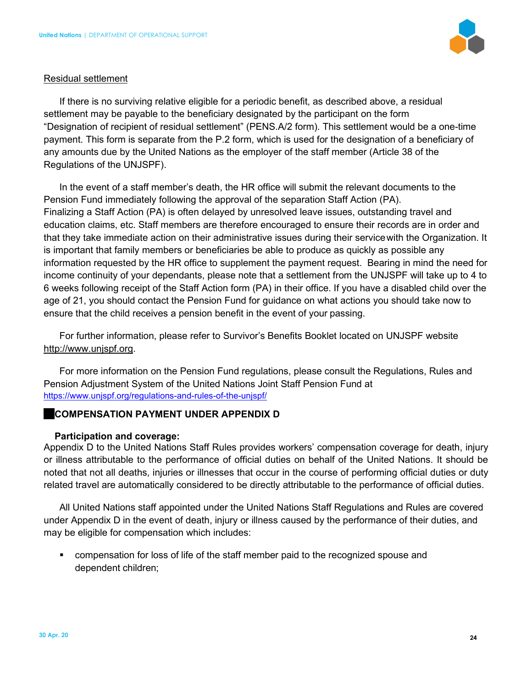

#### Residual settlement

If there is no surviving relative eligible for a periodic benefit, as described above, a residual settlement may be payable to the beneficiary designated by the participant on the form "Designation of recipient of residual settlement" (PENS.A/2 form). This settlement would be a one-time payment. This form is separate from the P.2 form, which is used for the designation of a beneficiary of any amounts due by the United Nations as the employer of the staff member (Article 38 of the Regulations of the UNJSPF).

In the event of a staff member's death, the HR office will submit the relevant documents to the Pension Fund immediately following the approval of the separation Staff Action (PA). Finalizing a Staff Action (PA) is often delayed by unresolved leave issues, outstanding travel and education claims, etc. Staff members are therefore encouraged to ensure their records are in order and that they take immediate action on their administrative issues during their service with the Organization. It is important that family members or beneficiaries be able to produce as quickly as possible any information requested by the HR office to supplement the payment request. Bearing in mind the need for income continuity of your dependants, please note that a settlement from the UNJSPF will take up to 4 to 6 weeks following receipt of the Staff Action form (PA) in their office. If you have a disabled child over the age of 21, you should contact the Pension Fund for guidance on what actions you should take now to ensure that the child receives a pension benefit in the event of your passing.

For further information, please refer to Survivor's Benefits Booklet located on UNJSPF website http://www.unjspf.org.

For more information on the Pension Fund regulations, please consult the Regulations, Rules and Pension Adjustment System of the United Nations Joint Staff Pension Fund at https://www.unjspf.org/regulations-and-rules-of-the-unjspf/

# **COMPENSATION PAYMENT UNDER APPENDIX D**

# **Participation and coverage:**

Appendix D to the United Nations Staff Rules provides workers' compensation coverage for death, injury or illness attributable to the performance of official duties on behalf of the United Nations. It should be noted that not all deaths, injuries or illnesses that occur in the course of performing official duties or duty related travel are automatically considered to be directly attributable to the performance of official duties.

All United Nations staff appointed under the United Nations Staff Regulations and Rules are covered under Appendix D in the event of death, injury or illness caused by the performance of their duties, and may be eligible for compensation which includes:

 compensation for loss of life of the staff member paid to the recognized spouse and dependent children;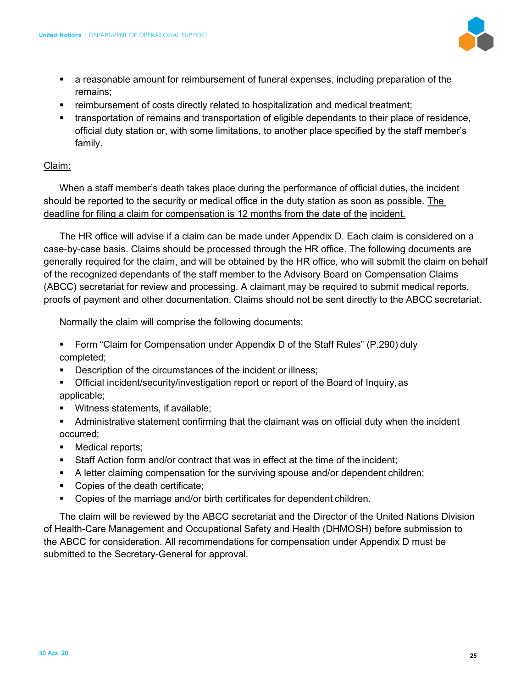

- a reasonable amount for reimbursement of funeral expenses, including preparation of the remains;
- reimbursement of costs directly related to hospitalization and medical treatment;
- transportation of remains and transportation of eligible dependants to their place of residence, official duty station or, with some limitations, to another place specified by the staff member's family.

# Claim:

When a staff member's death takes place during the performance of official duties, the incident should be reported to the security or medical office in the duty station as soon as possible. The deadline for filing a claim for compensation is 12 months from the date of the incident.

The HR office will advise if a claim can be made under Appendix D. Each claim is considered on a case-by-case basis. Claims should be processed through the HR office. The following documents are generally required for the claim, and will be obtained by the HR office, who will submit the claim on behalf of the recognized dependants of the staff member to the Advisory Board on Compensation Claims (ABCC) secretariat for review and processing. A claimant may be required to submit medical reports, proofs of payment and other documentation. Claims should not be sent directly to the ABCC secretariat.

Normally the claim will comprise the following documents:

- Form "Claim for Compensation under Appendix D of the Staff Rules" (P.290) duly completed;
- **Description of the circumstances of the incident or illness;**
- Official incident/security/investigation report or report of the Board of Inquiry, as applicable;
- **Witness statements, if available;**
- Administrative statement confirming that the claimant was on official duty when the incident occurred;
- Medical reports;
- Staff Action form and/or contract that was in effect at the time of the incident;
- A letter claiming compensation for the surviving spouse and/or dependent children;
- Copies of the death certificate;
- Copies of the marriage and/or birth certificates for dependent children.

The claim will be reviewed by the ABCC secretariat and the Director of the United Nations Division of Health-Care Management and Occupational Safety and Health (DHMOSH) before submission to the ABCC for consideration. All recommendations for compensation under Appendix D must be submitted to the Secretary-General for approval.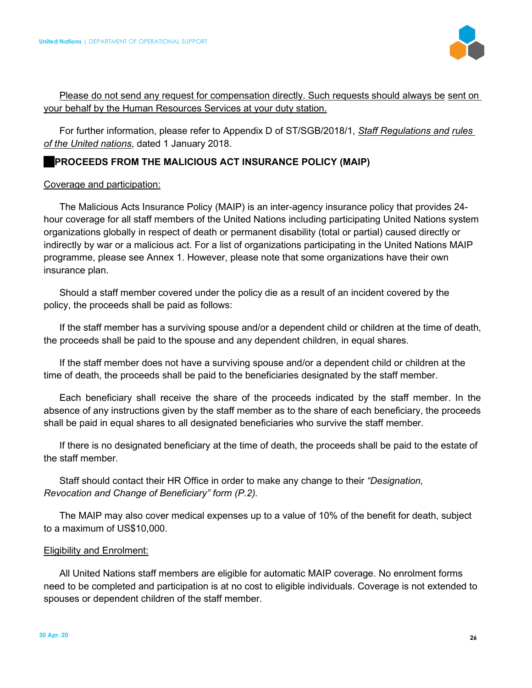

# Please do not send any request for compensation directly. Such requests should always be sent on your behalf by the Human Resources Services at your duty station.

For further information, please refer to Appendix D of ST/SGB/2018/1, *Staff Regulations and rules of the United nations*, dated 1 January 2018.

# **PROCEEDS FROM THE MALICIOUS ACT INSURANCE POLICY (MAIP)**

#### Coverage and participation:

The Malicious Acts Insurance Policy (MAIP) is an inter-agency insurance policy that provides 24 hour coverage for all staff members of the United Nations including participating United Nations system organizations globally in respect of death or permanent disability (total or partial) caused directly or indirectly by war or a malicious act. For a list of organizations participating in the United Nations MAIP programme, please see Annex 1. However, please note that some organizations have their own insurance plan.

Should a staff member covered under the policy die as a result of an incident covered by the policy, the proceeds shall be paid as follows:

If the staff member has a surviving spouse and/or a dependent child or children at the time of death, the proceeds shall be paid to the spouse and any dependent children, in equal shares.

If the staff member does not have a surviving spouse and/or a dependent child or children at the time of death, the proceeds shall be paid to the beneficiaries designated by the staff member.

Each beneficiary shall receive the share of the proceeds indicated by the staff member. In the absence of any instructions given by the staff member as to the share of each beneficiary, the proceeds shall be paid in equal shares to all designated beneficiaries who survive the staff member.

If there is no designated beneficiary at the time of death, the proceeds shall be paid to the estate of the staff member.

Staff should contact their HR Office in order to make any change to their *"Designation, Revocation and Change of Beneficiary" form (P.2).* 

The MAIP may also cover medical expenses up to a value of 10% of the benefit for death, subject to a maximum of US\$10,000.

#### Eligibility and Enrolment:

All United Nations staff members are eligible for automatic MAIP coverage. No enrolment forms need to be completed and participation is at no cost to eligible individuals. Coverage is not extended to spouses or dependent children of the staff member.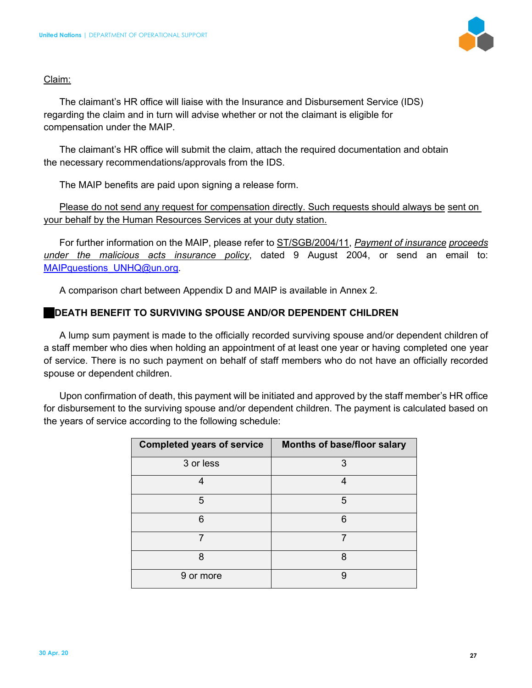

#### Claim:

The claimant's HR office will liaise with the Insurance and Disbursement Service (IDS) regarding the claim and in turn will advise whether or not the claimant is eligible for compensation under the MAIP.

The claimant's HR office will submit the claim, attach the required documentation and obtain the necessary recommendations/approvals from the IDS.

The MAIP benefits are paid upon signing a release form.

Please do not send any request for compensation directly. Such requests should always be sent on your behalf by the Human Resources Services at your duty station.

For further information on the MAIP, please refer to ST/SGB/2004/11, *Payment of insurance proceeds under the malicious acts insurance policy*, dated 9 August 2004, or send an email to: MAIPquestions\_UNHQ@un.org.

A comparison chart between Appendix D and MAIP is available in Annex 2.

# **DEATH BENEFIT TO SURVIVING SPOUSE AND/OR DEPENDENT CHILDREN**

A lump sum payment is made to the officially recorded surviving spouse and/or dependent children of a staff member who dies when holding an appointment of at least one year or having completed one year of service. There is no such payment on behalf of staff members who do not have an officially recorded spouse or dependent children.

Upon confirmation of death, this payment will be initiated and approved by the staff member's HR office for disbursement to the surviving spouse and/or dependent children. The payment is calculated based on the years of service according to the following schedule:

| <b>Completed years of service</b> | Months of base/floor salary |
|-----------------------------------|-----------------------------|
| 3 or less                         | 3                           |
| 4                                 | 4                           |
| 5                                 | 5                           |
| 6                                 | 6                           |
| 7                                 |                             |
| 8                                 | 8                           |
| 9 or more                         | 9                           |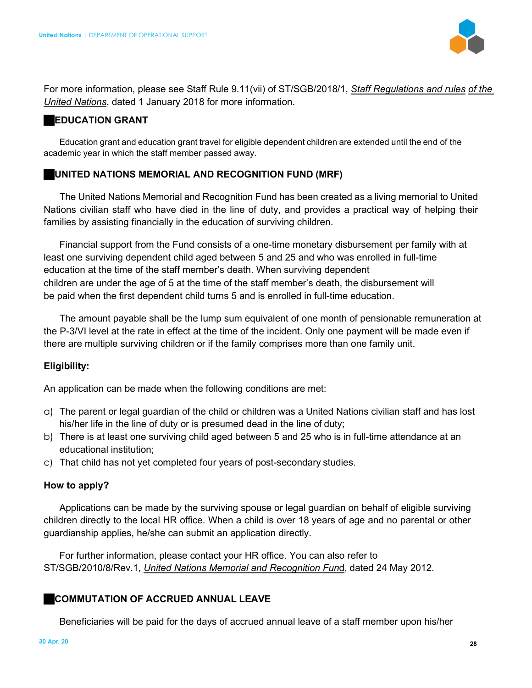

For more information, please see Staff Rule 9.11(vii) of ST/SGB/2018/1, *Staff Regulations and rules of the United Nations*, dated 1 January 2018 for more information.

#### **EDUCATION GRANT**

Education grant and education grant travel for eligible dependent children are extended until the end of the academic year in which the staff member passed away.

# **UNITED NATIONS MEMORIAL AND RECOGNITION FUND (MRF)**

The United Nations Memorial and Recognition Fund has been created as a living memorial to United Nations civilian staff who have died in the line of duty, and provides a practical way of helping their families by assisting financially in the education of surviving children.

Financial support from the Fund consists of a one-time monetary disbursement per family with at least one surviving dependent child aged between 5 and 25 and who was enrolled in full-time education at the time of the staff member's death. When surviving dependent children are under the age of 5 at the time of the staff member's death, the disbursement will be paid when the first dependent child turns 5 and is enrolled in full-time education.

The amount payable shall be the lump sum equivalent of one month of pensionable remuneration at the P-3/VI level at the rate in effect at the time of the incident. Only one payment will be made even if there are multiple surviving children or if the family comprises more than one family unit.

# **Eligibility:**

An application can be made when the following conditions are met:

- a) The parent or legal guardian of the child or children was a United Nations civilian staff and has lost his/her life in the line of duty or is presumed dead in the line of duty;
- b) There is at least one surviving child aged between 5 and 25 who is in full-time attendance at an educational institution;
- c) That child has not yet completed four years of post-secondary studies.

# **How to apply?**

Applications can be made by the surviving spouse or legal guardian on behalf of eligible surviving children directly to the local HR office. When a child is over 18 years of age and no parental or other guardianship applies, he/she can submit an application directly.

For further information, please contact your HR office. You can also refer to ST/SGB/2010/8/Rev.1, *United Nations Memorial and Recognition Fun*d, dated 24 May 2012.

# **COMMUTATION OF ACCRUED ANNUAL LEAVE**

Beneficiaries will be paid for the days of accrued annual leave of a staff member upon his/her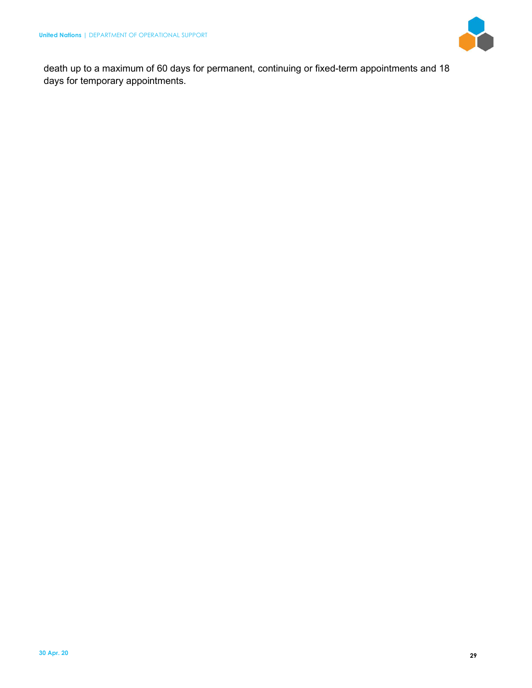

death up to a maximum of 60 days for permanent, continuing or fixed-term appointments and 18 days for temporary appointments.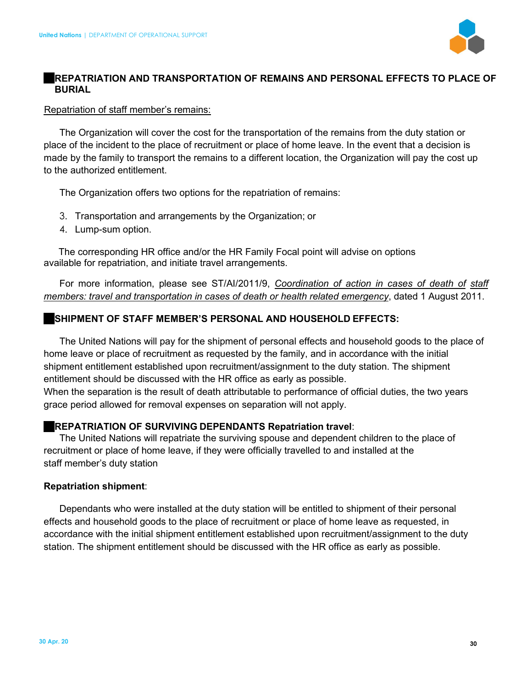

# **REPATRIATION AND TRANSPORTATION OF REMAINS AND PERSONAL EFFECTS TO PLACE OF BURIAL**

#### Repatriation of staff member's remains:

The Organization will cover the cost for the transportation of the remains from the duty station or place of the incident to the place of recruitment or place of home leave. In the event that a decision is made by the family to transport the remains to a different location, the Organization will pay the cost up to the authorized entitlement.

The Organization offers two options for the repatriation of remains:

- 3. Transportation and arrangements by the Organization; or
- 4. Lump-sum option.

The corresponding HR office and/or the HR Family Focal point will advise on options available for repatriation, and initiate travel arrangements.

For more information, please see ST/AI/2011/9, *Coordination of action in cases of death of staff members: travel and transportation in cases of death or health related emergency*, dated 1 August 2011.

# **SHIPMENT OF STAFF MEMBER'S PERSONAL AND HOUSEHOLD EFFECTS:**

The United Nations will pay for the shipment of personal effects and household goods to the place of home leave or place of recruitment as requested by the family, and in accordance with the initial shipment entitlement established upon recruitment/assignment to the duty station. The shipment entitlement should be discussed with the HR office as early as possible.

When the separation is the result of death attributable to performance of official duties, the two years grace period allowed for removal expenses on separation will not apply.

# **REPATRIATION OF SURVIVING DEPENDANTS Repatriation travel**:

The United Nations will repatriate the surviving spouse and dependent children to the place of recruitment or place of home leave, if they were officially travelled to and installed at the staff member's duty station

# **Repatriation shipment**:

Dependants who were installed at the duty station will be entitled to shipment of their personal effects and household goods to the place of recruitment or place of home leave as requested, in accordance with the initial shipment entitlement established upon recruitment/assignment to the duty station. The shipment entitlement should be discussed with the HR office as early as possible.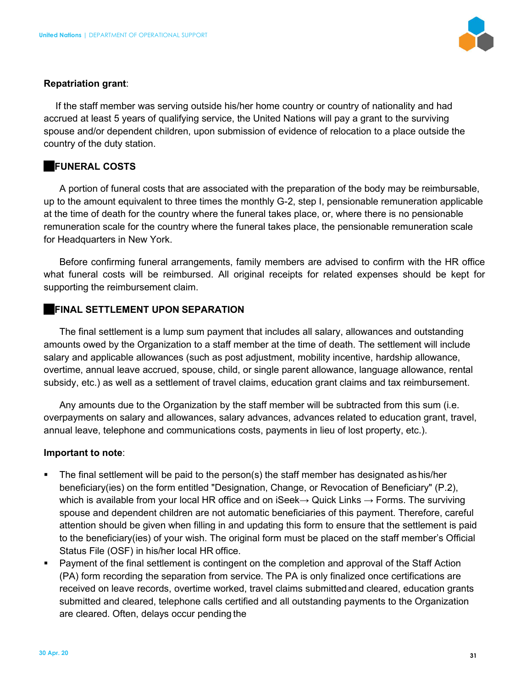

#### **Repatriation grant**:

If the staff member was serving outside his/her home country or country of nationality and had accrued at least 5 years of qualifying service, the United Nations will pay a grant to the surviving spouse and/or dependent children, upon submission of evidence of relocation to a place outside the country of the duty station.

#### **FUNERAL COSTS**

A portion of funeral costs that are associated with the preparation of the body may be reimbursable, up to the amount equivalent to three times the monthly G-2, step I, pensionable remuneration applicable at the time of death for the country where the funeral takes place, or, where there is no pensionable remuneration scale for the country where the funeral takes place, the pensionable remuneration scale for Headquarters in New York.

Before confirming funeral arrangements, family members are advised to confirm with the HR office what funeral costs will be reimbursed. All original receipts for related expenses should be kept for supporting the reimbursement claim.

#### **FINAL SETTLEMENT UPON SEPARATION**

The final settlement is a lump sum payment that includes all salary, allowances and outstanding amounts owed by the Organization to a staff member at the time of death. The settlement will include salary and applicable allowances (such as post adjustment, mobility incentive, hardship allowance, overtime, annual leave accrued, spouse, child, or single parent allowance, language allowance, rental subsidy, etc.) as well as a settlement of travel claims, education grant claims and tax reimbursement.

Any amounts due to the Organization by the staff member will be subtracted from this sum (i.e. overpayments on salary and allowances, salary advances, advances related to education grant, travel, annual leave, telephone and communications costs, payments in lieu of lost property, etc.).

#### **Important to note**:

- The final settlement will be paid to the person(s) the staff member has designated as his/her beneficiary(ies) on the form entitled "Designation, Change, or Revocation of Beneficiary" (P.2), which is available from your local HR office and on iSeek $\rightarrow$  Quick Links  $\rightarrow$  Forms. The surviving spouse and dependent children are not automatic beneficiaries of this payment. Therefore, careful attention should be given when filling in and updating this form to ensure that the settlement is paid to the beneficiary(ies) of your wish. The original form must be placed on the staff member's Official Status File (OSF) in his/her local HR office.
- **Payment of the final settlement is contingent on the completion and approval of the Staff Action** (PA) form recording the separation from service. The PA is only finalized once certifications are received on leave records, overtime worked, travel claims submitted and cleared, education grants submitted and cleared, telephone calls certified and all outstanding payments to the Organization are cleared. Often, delays occur pending the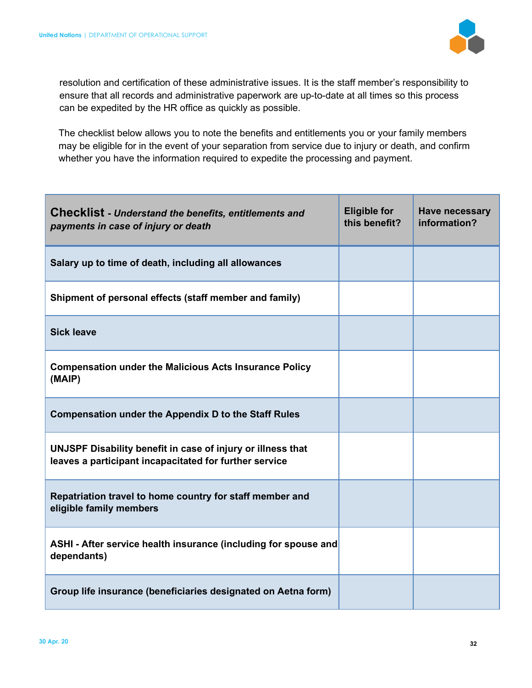

resolution and certification of these administrative issues. It is the staff member's responsibility to ensure that all records and administrative paperwork are up-to-date at all times so this process can be expedited by the HR office as quickly as possible.

The checklist below allows you to note the benefits and entitlements you or your family members may be eligible for in the event of your separation from service due to injury or death, and confirm whether you have the information required to expedite the processing and payment.

| <b>Checklist</b> - Understand the benefits, entitlements and<br>payments in case of injury or death                   | <b>Eligible for</b><br>this benefit? | <b>Have necessary</b><br>information? |
|-----------------------------------------------------------------------------------------------------------------------|--------------------------------------|---------------------------------------|
| Salary up to time of death, including all allowances                                                                  |                                      |                                       |
| Shipment of personal effects (staff member and family)                                                                |                                      |                                       |
| <b>Sick leave</b>                                                                                                     |                                      |                                       |
| <b>Compensation under the Malicious Acts Insurance Policy</b><br>(MAIP)                                               |                                      |                                       |
| <b>Compensation under the Appendix D to the Staff Rules</b>                                                           |                                      |                                       |
| UNJSPF Disability benefit in case of injury or illness that<br>leaves a participant incapacitated for further service |                                      |                                       |
| Repatriation travel to home country for staff member and<br>eligible family members                                   |                                      |                                       |
| ASHI - After service health insurance (including for spouse and<br>dependants)                                        |                                      |                                       |
| Group life insurance (beneficiaries designated on Aetna form)                                                         |                                      |                                       |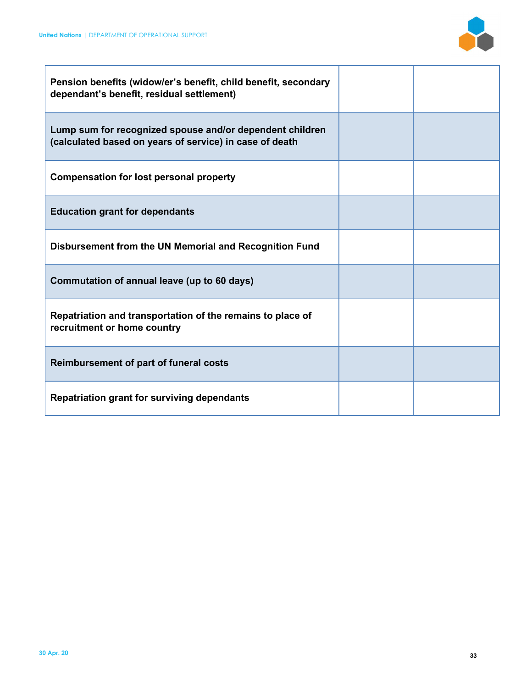

| Pension benefits (widow/er's benefit, child benefit, secondary<br>dependant's benefit, residual settlement)         |  |
|---------------------------------------------------------------------------------------------------------------------|--|
| Lump sum for recognized spouse and/or dependent children<br>(calculated based on years of service) in case of death |  |
| <b>Compensation for lost personal property</b>                                                                      |  |
| <b>Education grant for dependants</b>                                                                               |  |
| Disbursement from the UN Memorial and Recognition Fund                                                              |  |
| Commutation of annual leave (up to 60 days)                                                                         |  |
| Repatriation and transportation of the remains to place of<br>recruitment or home country                           |  |
| <b>Reimbursement of part of funeral costs</b>                                                                       |  |
| <b>Repatriation grant for surviving dependants</b>                                                                  |  |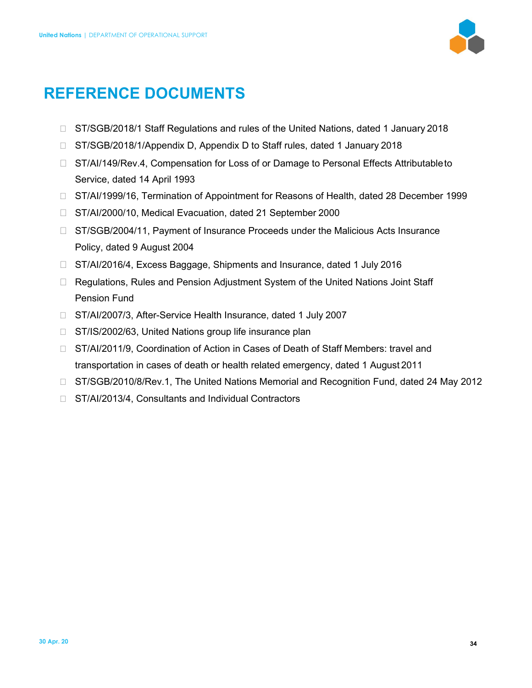

# **REFERENCE DOCUMENTS**

- □ ST/SGB/2018/1 Staff Regulations and rules of the United Nations, dated 1 January 2018
- □ ST/SGB/2018/1/Appendix D, Appendix D to Staff rules, dated 1 January 2018
- □ ST/AI/149/Rev.4, Compensation for Loss of or Damage to Personal Effects Attributable to Service, dated 14 April 1993
- □ ST/AI/1999/16, Termination of Appointment for Reasons of Health, dated 28 December 1999
- □ ST/AI/2000/10, Medical Evacuation, dated 21 September 2000
- □ ST/SGB/2004/11, Payment of Insurance Proceeds under the Malicious Acts Insurance Policy, dated 9 August 2004
- □ ST/AI/2016/4, Excess Baggage, Shipments and Insurance, dated 1 July 2016
- □ Regulations, Rules and Pension Adjustment System of the United Nations Joint Staff Pension Fund
- □ ST/AI/2007/3, After-Service Health Insurance, dated 1 July 2007
- □ ST/IS/2002/63, United Nations group life insurance plan
- □ ST/AI/2011/9, Coordination of Action in Cases of Death of Staff Members: travel and transportation in cases of death or health related emergency, dated 1 August 2011
- □ ST/SGB/2010/8/Rev.1, The United Nations Memorial and Recognition Fund, dated 24 May 2012
- □ ST/AI/2013/4, Consultants and Individual Contractors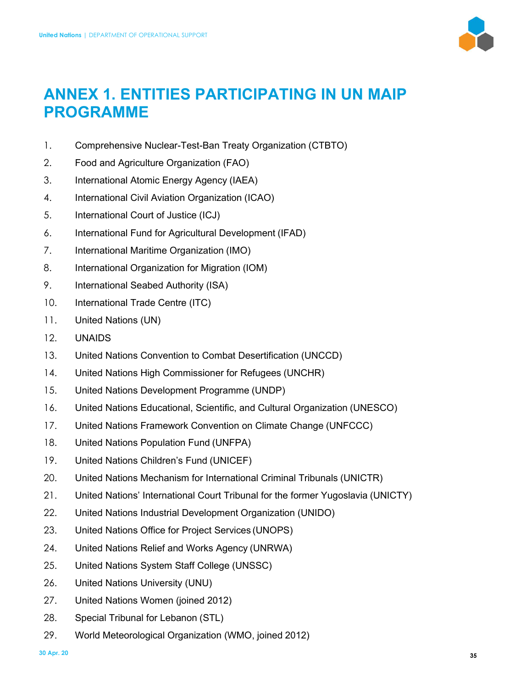

# **ANNEX 1. ENTITIES PARTICIPATING IN UN MAIP PROGRAMME**

- 1. Comprehensive Nuclear-Test-Ban Treaty Organization (CTBTO)
- 2. Food and Agriculture Organization (FAO)
- 3. International Atomic Energy Agency (IAEA)
- 4. International Civil Aviation Organization (ICAO)
- 5. International Court of Justice (ICJ)
- 6. International Fund for Agricultural Development (IFAD)
- 7. International Maritime Organization (IMO)
- 8. International Organization for Migration (IOM)
- 9. International Seabed Authority (ISA)
- 10. International Trade Centre (ITC)
- 11. United Nations (UN)
- 12. UNAIDS
- 13. United Nations Convention to Combat Desertification (UNCCD)
- 14. United Nations High Commissioner for Refugees (UNCHR)
- 15. United Nations Development Programme (UNDP)
- 16. United Nations Educational, Scientific, and Cultural Organization (UNESCO)
- 17. United Nations Framework Convention on Climate Change (UNFCCC)
- 18. United Nations Population Fund (UNFPA)
- 19. United Nations Children's Fund (UNICEF)
- 20. United Nations Mechanism for International Criminal Tribunals (UNICTR)
- 21. United Nations' International Court Tribunal for the former Yugoslavia (UNICTY)
- 22. United Nations Industrial Development Organization (UNIDO)
- 23. United Nations Office for Project Services (UNOPS)
- 24. United Nations Relief and Works Agency (UNRWA)
- 25. United Nations System Staff College (UNSSC)
- 26. United Nations University (UNU)
- 27. United Nations Women (joined 2012)
- 28. Special Tribunal for Lebanon (STL)
- 29. World Meteorological Organization (WMO, joined 2012)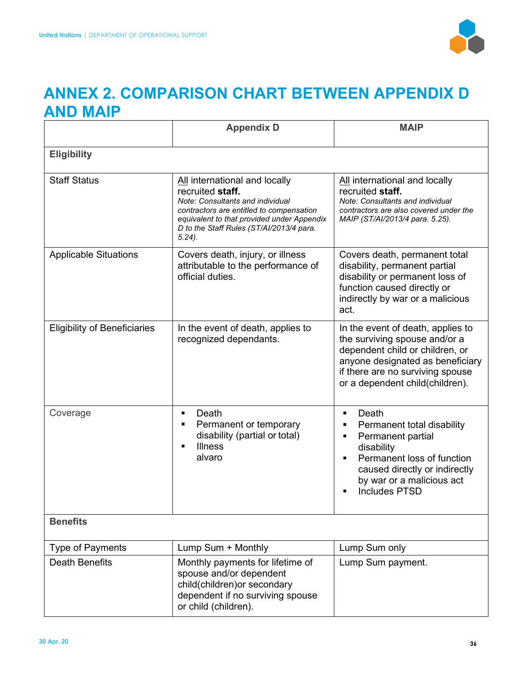

# **ANNEX 2. COMPARISON CHART BETWEEN APPENDIX D AND MAIP**

|                                     | <b>Appendix D</b>                                                                                                                                                                                                                        | <b>MAIP</b>                                                                                                                                                                                                                                                             |  |
|-------------------------------------|------------------------------------------------------------------------------------------------------------------------------------------------------------------------------------------------------------------------------------------|-------------------------------------------------------------------------------------------------------------------------------------------------------------------------------------------------------------------------------------------------------------------------|--|
| <b>Eligibility</b>                  |                                                                                                                                                                                                                                          |                                                                                                                                                                                                                                                                         |  |
| <b>Staff Status</b>                 | All international and locally<br>recruited staff.<br>Note: Consultants and individual<br>contractors are entitled to compensation<br>equivalent to that provided under Appendix<br>D to the Staff Rules (ST/Al/2013/4 para.<br>$5.24$ ). | All international and locally<br>recruited staff.<br>Note: Consultants and individual<br>contractors are also covered under the<br>MAIP (ST/AI/2013/4 para. 5.25).                                                                                                      |  |
| <b>Applicable Situations</b>        | Covers death, injury, or illness<br>attributable to the performance of<br>official duties.                                                                                                                                               | Covers death, permanent total<br>disability, permanent partial<br>disability or permanent loss of<br>function caused directly or<br>indirectly by war or a malicious<br>act.                                                                                            |  |
| <b>Eligibility of Beneficiaries</b> | In the event of death, applies to<br>recognized dependants.                                                                                                                                                                              | In the event of death, applies to<br>the surviving spouse and/or a<br>dependent child or children, or<br>anyone designated as beneficiary<br>if there are no surviving spouse<br>or a dependent child(children).                                                        |  |
| Coverage                            | Death<br>$\blacksquare$<br>Permanent or temporary<br>$\blacksquare$<br>disability (partial or total)<br><b>Illness</b><br>alvaro                                                                                                         | Death<br>$\blacksquare$<br>Permanent total disability<br>Ξ<br>Permanent partial<br>$\blacksquare$<br>disability<br>Permanent loss of function<br>$\blacksquare$<br>caused directly or indirectly<br>by war or a malicious act<br><b>Includes PTSD</b><br>$\blacksquare$ |  |
| <b>Benefits</b>                     |                                                                                                                                                                                                                                          |                                                                                                                                                                                                                                                                         |  |
| <b>Type of Payments</b>             | Lump Sum + Monthly                                                                                                                                                                                                                       | Lump Sum only                                                                                                                                                                                                                                                           |  |
| <b>Death Benefits</b>               | Monthly payments for lifetime of<br>spouse and/or dependent<br>child(children) or secondary<br>dependent if no surviving spouse<br>or child (children).                                                                                  | Lump Sum payment.                                                                                                                                                                                                                                                       |  |